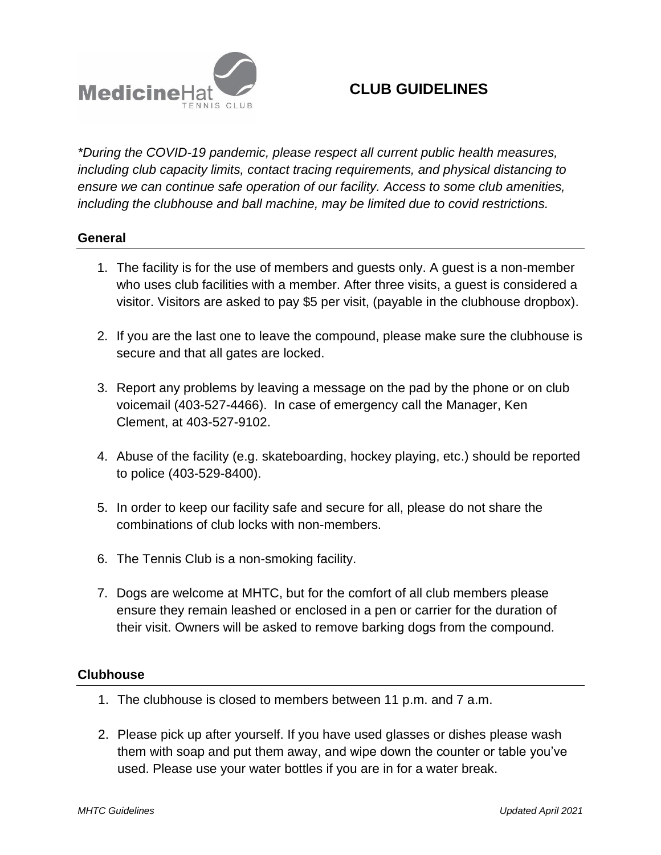

## **CLUB GUIDELINES**

*\*During the COVID-19 pandemic, please respect all current public health measures, including club capacity limits, contact tracing requirements, and physical distancing to ensure we can continue safe operation of our facility. Access to some club amenities, including the clubhouse and ball machine, may be limited due to covid restrictions.*

## **General**

- 1. The facility is for the use of members and guests only. A guest is a non-member who uses club facilities with a member. After three visits, a guest is considered a visitor. Visitors are asked to pay \$5 per visit, (payable in the clubhouse dropbox).
- 2. If you are the last one to leave the compound, please make sure the clubhouse is secure and that all gates are locked.
- 3. Report any problems by leaving a message on the pad by the phone or on club voicemail (403-527-4466). In case of emergency call the Manager, Ken Clement, at 403-527-9102.
- 4. Abuse of the facility (e.g. skateboarding, hockey playing, etc.) should be reported to police (403-529-8400).
- 5. In order to keep our facility safe and secure for all, please do not share the combinations of club locks with non-members.
- 6. The Tennis Club is a non-smoking facility.
- 7. Dogs are welcome at MHTC, but for the comfort of all club members please ensure they remain leashed or enclosed in a pen or carrier for the duration of their visit. Owners will be asked to remove barking dogs from the compound.

## **Clubhouse**

- 1. The clubhouse is closed to members between 11 p.m. and 7 a.m.
- 2. Please pick up after yourself. If you have used glasses or dishes please wash them with soap and put them away, and wipe down the counter or table you've used. Please use your water bottles if you are in for a water break.